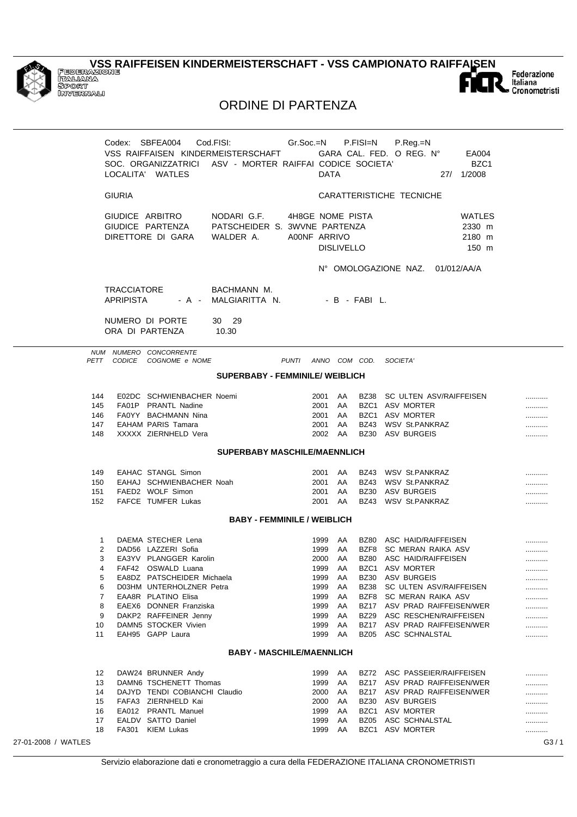

27-01-2008 /

## **VSS RAIFFEISEN KINDERMEISTERSCHAFT - VSS CAMPIONATO RAIFFAISEN**<br>ITALIANA<br>SPORT<br>INVERNALI



## **ORDINE DI PARTENZA**

|                                                             |                                        | Codex: SBFEA004<br>LOCALITA' WATLES                                                                                                                                                                                                                                       | Cod.FISI:<br><b>Solution Control Circuit Control Circuit Control Circuit</b><br>VSS RAIFFAISEN KINDERMEISTERSCHAFT<br>SOC. ORGANIZZATRICI ASV - MORTER RAIFFAI CODICE SOCIETA' |                                  | <b>DATA</b>                                                                        |                                                         | P.FISI=N                                    | P.Reg.=N<br>GARA CAL. FED. O REG. N°<br>27/ 1/2008                                                                                                                                                                                                                             | EA004<br>BZC <sub>1</sub>           |                                     |
|-------------------------------------------------------------|----------------------------------------|---------------------------------------------------------------------------------------------------------------------------------------------------------------------------------------------------------------------------------------------------------------------------|--------------------------------------------------------------------------------------------------------------------------------------------------------------------------------|----------------------------------|------------------------------------------------------------------------------------|---------------------------------------------------------|---------------------------------------------|--------------------------------------------------------------------------------------------------------------------------------------------------------------------------------------------------------------------------------------------------------------------------------|-------------------------------------|-------------------------------------|
|                                                             | <b>GIURIA</b>                          |                                                                                                                                                                                                                                                                           |                                                                                                                                                                                |                                  |                                                                                    |                                                         |                                             | CARATTERISTICHE TECNICHE                                                                                                                                                                                                                                                       |                                     |                                     |
|                                                             |                                        | GIUDICE ARBITRO<br>GIUDICE PARTENZA<br>DIRETTORE DI GARA                                                                                                                                                                                                                  | NODARIG.F.<br>PATSCHEIDER S. 3WVNE PARTENZA<br>WALDER A.                                                                                                                       | 4H8GE NOME PISTA<br>A00NF ARRIVO |                                                                                    | <b>DISLIVELLO</b>                                       |                                             |                                                                                                                                                                                                                                                                                | WATLES<br>2330 m<br>2180 m<br>150 m |                                     |
|                                                             |                                        |                                                                                                                                                                                                                                                                           |                                                                                                                                                                                |                                  |                                                                                    |                                                         |                                             | N° OMOLOGAZIONE NAZ. 01/012/AA/A                                                                                                                                                                                                                                               |                                     |                                     |
|                                                             | <b>TRACCIATORE</b><br><b>APRIPISTA</b> |                                                                                                                                                                                                                                                                           | BACHMANN M.<br>- A - MALGIARITTA N.                                                                                                                                            |                                  |                                                                                    |                                                         | - B - FABIL.                                |                                                                                                                                                                                                                                                                                |                                     |                                     |
|                                                             |                                        | NUMERO DI PORTE<br>ORA DI PARTENZA                                                                                                                                                                                                                                        | 30 29<br>10.30                                                                                                                                                                 |                                  |                                                                                    |                                                         |                                             |                                                                                                                                                                                                                                                                                |                                     |                                     |
|                                                             |                                        | NUM NUMERO CONCORRENTE<br>PETT CODICE COGNOME e NOME                                                                                                                                                                                                                      |                                                                                                                                                                                | PUNTI ANNO COM COD. SOCIETA'     |                                                                                    |                                                         |                                             |                                                                                                                                                                                                                                                                                |                                     |                                     |
|                                                             |                                        |                                                                                                                                                                                                                                                                           | <b>SUPERBABY - FEMMINILE/ WEIBLICH</b>                                                                                                                                         |                                  |                                                                                    |                                                         |                                             |                                                                                                                                                                                                                                                                                |                                     |                                     |
| 144<br>145<br>146<br>147<br>148                             |                                        | E02DC SCHWIENBACHER Noemi<br>FA01P PRANTL Nadine<br>FA0YY BACHMANN Nina<br><b>EAHAM PARIS Tamara</b><br>XXXXX ZIERNHELD Vera                                                                                                                                              |                                                                                                                                                                                |                                  | 2001 AA<br>2001 AA<br>2001<br>2001<br>2002 AA                                      | AA<br>AA                                                |                                             | BZ38 SC ULTEN ASV/RAIFFEISEN<br>BZC1 ASV MORTER<br>BZC1 ASV MORTER<br>BZ43 WSV St.PANKRAZ<br>BZ30 ASV BURGEIS                                                                                                                                                                  |                                     | <br><br><br>.                       |
|                                                             |                                        |                                                                                                                                                                                                                                                                           | SUPERBABY MASCHILE/MAENNLICH                                                                                                                                                   |                                  |                                                                                    |                                                         |                                             |                                                                                                                                                                                                                                                                                |                                     |                                     |
| 149<br>150<br>151<br>152                                    |                                        | EAHAC STANGL Simon<br>EAHAJ SCHWIENBACHER Noah<br>FAED2 WOLF Simon<br>FAFCE TUMFER Lukas                                                                                                                                                                                  |                                                                                                                                                                                |                                  | 2001 AA<br>2001 AA<br>2001 AA<br>2001                                              | AA                                                      |                                             | BZ43 WSV St.PANKRAZ<br>BZ43 WSV St.PANKRAZ<br>BZ30 ASV BURGEIS<br>BZ43 WSV St.PANKRAZ                                                                                                                                                                                          |                                     | <br><br>.                           |
|                                                             |                                        |                                                                                                                                                                                                                                                                           | <b>BABY - FEMMINILE / WEIBLICH</b>                                                                                                                                             |                                  |                                                                                    |                                                         |                                             |                                                                                                                                                                                                                                                                                |                                     |                                     |
| $\mathbf{1}$<br>2<br>3<br>5<br>6<br>7<br>8<br>9<br>10<br>11 | 4                                      | DAEMA STECHER Lena<br>DAD56 LAZZERI Sofia<br>EA3YV PLANGGER Karolin<br>FAF42 OSWALD Luana<br>EA8DZ PATSCHEIDER Michaela<br>D03HM UNTERHOLZNER Petra<br>EAA8R PLATINO Elisa<br>EAEX6 DONNER Franziska<br>DAKP2 RAFFEINER Jenny<br>DAMN5 STOCKER Vivien<br>EAH95 GAPP Laura |                                                                                                                                                                                |                                  | 1999 AA<br>1999<br>2000 AA<br>1999<br>1999<br>1999<br>1999<br>1999<br>1999<br>1999 | AA<br>1999 AA<br>AA<br>AA<br>AA<br>AA<br>AA<br>AA<br>AA | BZ38<br>BZF8<br>BZ17<br><b>BZ29</b><br>BZ05 | BZ80 ASC HAID/RAIFFEISEN<br>BZF8 SC MERAN RAIKA ASV<br>BZ80 ASC HAID/RAIFFEISEN<br>BZC1 ASV MORTER<br>BZ30 ASV BURGEIS<br>SC ULTEN ASV/RAIFFEISEN<br>SC MERAN RAIKA ASV<br>ASV PRAD RAIFFEISEN/WER<br>ASC RESCHEN/RAIFFEISEN<br>BZ17 ASV PRAD RAIFFEISEN/WER<br>ASC SCHNALSTAL |                                     | <br><br>.<br><br><br>.<br><br><br>. |
|                                                             |                                        |                                                                                                                                                                                                                                                                           | <b>BABY - MASCHILE/MAENNLICH</b>                                                                                                                                               |                                  |                                                                                    |                                                         |                                             |                                                                                                                                                                                                                                                                                |                                     |                                     |
| 12<br>13<br>14<br>15<br>16<br>17<br>18                      |                                        | DAW24 BRUNNER Andy<br>DAMN6 TSCHENETT Thomas<br>DAJYD TENDI COBIANCHI Claudio<br>FAFA3 ZIERNHELD Kai<br>EA012 PRANTL Manuel<br>EALDV SATTO Daniel<br>FA301 KIEM Lukas                                                                                                     |                                                                                                                                                                                |                                  | 1999<br>1999<br>2000<br>2000<br>1999<br>1999<br>1999                               | AA<br>AA<br>AA<br>AA<br>AA<br>AA<br>AA                  | <b>BZ30</b>                                 | BZ72 ASC PASSEIER/RAIFFEISEN<br>BZ17 ASV PRAD RAIFFEISEN/WER<br>BZ17 ASV PRAD RAIFFEISEN/WER<br>ASV BURGEIS<br>BZC1 ASV MORTER<br>BZ05 ASC SCHNALSTAL<br>BZC1 ASV MORTER                                                                                                       |                                     | <br><br><br><br>                    |
| WATLES                                                      |                                        |                                                                                                                                                                                                                                                                           |                                                                                                                                                                                |                                  |                                                                                    |                                                         |                                             |                                                                                                                                                                                                                                                                                |                                     | G3/1                                |
|                                                             |                                        |                                                                                                                                                                                                                                                                           |                                                                                                                                                                                |                                  |                                                                                    |                                                         |                                             | Servizio elaborazione dati e cronometraggio a cura della FEDERAZIONE ITALIANA CRONOMETRISTI                                                                                                                                                                                    |                                     |                                     |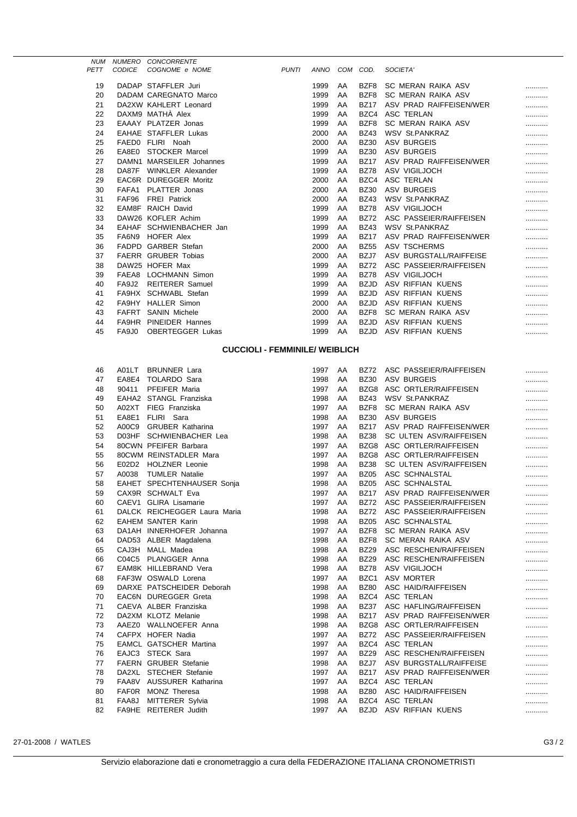|             |               | NUM NUMERO CONCORRENTE       |              |      |    |             |                         |   |
|-------------|---------------|------------------------------|--------------|------|----|-------------|-------------------------|---|
| <b>PETT</b> | <b>CODICE</b> | COGNOME e NOME               | <b>PUNTI</b> | ANNO |    | COM COD.    | SOCIETA'                |   |
| 19          |               | DADAP STAFFLER Juri          |              | 1999 | AA | BZF8        | SC MERAN RAIKA ASV      |   |
| 20          |               | DADAM CAREGNATO Marco        |              | 1999 | AA | BZF8        | SC MERAN RAIKA ASV      |   |
| 21          |               | DA2XW KAHLERT Leonard        |              | 1999 | AA | <b>BZ17</b> | ASV PRAD RAIFFEISEN/WER |   |
| 22          |               | DAXM9 MATHA Alex             |              | 1999 | AA | BZC4        | ASC TERLAN              |   |
| 23          |               | EAAAY PLATZER Jonas          |              | 1999 | AA | BZF8        | SC MERAN RAIKA ASV      |   |
| 24          |               | <b>EAHAE STAFFLER Lukas</b>  |              | 2000 | AA | <b>BZ43</b> | <b>WSV St.PANKRAZ</b>   |   |
| 25          |               | FAED0 FLIRI Noah             |              | 2000 | AA | <b>BZ30</b> | <b>ASV BURGEIS</b>      |   |
| 26          |               | EA8E0 STOCKER Marcel         |              | 1999 | AA | <b>BZ30</b> | ASV BURGEIS             |   |
| 27          |               | DAMN1 MARSEILER Johannes     |              | 1999 | AA | <b>BZ17</b> | ASV PRAD RAIFFEISEN/WER |   |
| 28          |               | DA87F WINKLER Alexander      |              | 1999 | AA | <b>BZ78</b> | ASV VIGILJOCH           |   |
| 29          |               | <b>EAC6R DUREGGER Moritz</b> |              | 2000 | AA | BZC4        | ASC TERLAN              | . |
| 30          |               | FAFA1 PLATTER Jonas          |              | 2000 | AA | <b>BZ30</b> | <b>ASV BURGEIS</b>      |   |
| 31          | FAF96         | <b>FREI</b> Patrick          |              | 2000 | AA | <b>BZ43</b> | WSV St.PANKRAZ          |   |
| 32          | EAM8F         | <b>RAICH David</b>           |              | 1999 | AA | <b>BZ78</b> | ASV VIGILJOCH           |   |
| 33          |               | DAW26 KOFLER Achim           |              | 1999 | AA | <b>BZ72</b> | ASC PASSEIER/RAIFFEISEN |   |
| 34          |               | EAHAF SCHWIENBACHER Jan      |              | 1999 | AA | <b>BZ43</b> | <b>WSV St.PANKRAZ</b>   |   |
| 35          |               | FA6N9 HOFER Alex             |              | 1999 | AA | <b>BZ17</b> | ASV PRAD RAIFFEISEN/WER |   |
| 36          |               | FADPD GARBER Stefan          |              | 2000 | AA | <b>BZ55</b> | <b>ASV TSCHERMS</b>     |   |
| 37          |               | <b>FAERR GRUBER Tobias</b>   |              | 2000 | AA | BZJ7        | ASV BURGSTALL/RAIFFEISE |   |
| 38          |               | DAW25 HOFER Max              |              | 1999 | AA | <b>BZ72</b> | ASC PASSEIER/RAIFFEISEN |   |
| 39          |               | FAEA8 LOCHMANN Simon         |              | 1999 | AA | <b>BZ78</b> | ASV VIGILJOCH           |   |
| 40          | FA9J2         | <b>REITERER Samuel</b>       |              | 1999 | AA | <b>BZJD</b> | ASV RIFFIAN KUENS       |   |
| 41          |               | FA9HX SCHWABL Stefan         |              | 1999 | AA | <b>BZJD</b> | ASV RIFFIAN KUENS       |   |
| 42          | FA9HY         | <b>HALLER Simon</b>          |              | 2000 | AA | <b>BZJD</b> | ASV RIFFIAN KUENS       |   |
| 43          | FAFRT         | <b>SANIN Michele</b>         |              | 2000 | AA | BZF8        | SC MERAN RAIKA ASV      |   |
| 44          | FA9HR         | PINEIDER Hannes              |              | 1999 | AA | <b>BZJD</b> | ASV RIFFIAN KUENS       |   |
| 45          | FA9J0         | <b>OBERTEGGER Lukas</b>      |              | 1999 | AA | <b>BZJD</b> | ASV RIFFIAN KUENS       |   |
|             |               |                              |              |      |    |             |                         |   |

## **CUCCIOLI - FEMMINILE/ WEIBLICH**

| 46 | A01LT BRUNNER Lara            | 1997 | AA | <b>BZ72</b>      | ASC PASSEIER/RAIFFEISEN      |   |
|----|-------------------------------|------|----|------------------|------------------------------|---|
| 47 | EA8E4 TOLARDO Sara            | 1998 | AA | <b>BZ30</b>      | <b>ASV BURGEIS</b>           |   |
| 48 | 90411 PFEIFER Maria           | 1997 | AA | BZG8             | ASC ORTLER/RAIFFEISEN        | . |
| 49 | EAHA2 STANGL Franziska        | 1998 | AA | <b>BZ43</b>      | <b>WSV St.PANKRAZ</b>        |   |
| 50 | A02XT FIEG Franziska          | 1997 | AA | BZF8             | SC MERAN RAIKA ASV           |   |
| 51 | EA8E1 FLIRI Sara              | 1998 | AA | <b>BZ30</b>      | <b>ASV BURGEIS</b>           |   |
| 52 | A00C9 GRUBER Katharina        | 1997 | AA |                  | BZ17 ASV PRAD RAIFFEISEN/WER |   |
| 53 | D03HF SCHWIENBACHER Lea       | 1998 | AA | <b>BZ38</b>      | SC ULTEN ASV/RAIFFEISEN      |   |
| 54 | 80CWN PFEIFER Barbara         | 1997 | AA |                  | BZG8 ASC ORTLER/RAIFFEISEN   |   |
| 55 | 80CWM REINSTADLER Mara        | 1997 | AA |                  | BZG8 ASC ORTLER/RAIFFEISEN   |   |
| 56 | E02D2 HOLZNER Leonie          | 1998 | AA | <b>BZ38</b>      | SC ULTEN ASV/RAIFFEISEN      | . |
| 57 | A0038 TUMLER Natalie          | 1997 | AA | <b>BZ05</b>      | ASC SCHNALSTAL               | . |
| 58 | EAHET SPECHTENHAUSER Sonja    | 1998 | AA | <b>BZ05</b>      | ASC SCHNALSTAL               | . |
| 59 | CAX9R SCHWALT Eva             | 1997 | AA | <b>BZ17</b>      | ASV PRAD RAIFFEISEN/WER      | . |
| 60 | CAEV1 GLIRA Lisamarie         | 1997 | AA | <b>BZ72</b>      | ASC PASSEIER/RAIFFEISEN      | . |
| 61 | DALCK REICHEGGER Laura Maria  | 1998 | AA | <b>BZ72</b>      | ASC PASSEIER/RAIFFEISEN      |   |
| 62 | <b>EAHEM SANTER Karin</b>     | 1998 | AA | <b>BZ05</b>      | ASC SCHNALSTAL               | . |
| 63 | DA1AH INNERHOFER Johanna      | 1997 | AA | BZF8             | SC MERAN RAIKA ASV           |   |
| 64 | DAD53 ALBER Magdalena         | 1998 | AA | BZF8             | SC MERAN RAIKA ASV           | . |
| 65 | CAJ3H MALL Madea              | 1998 | AA | <b>BZ29</b>      | ASC RESCHEN/RAIFFEISEN       | . |
| 66 | C04C5 PLANGGER Anna           | 1998 | AA | <b>BZ29</b>      | ASC RESCHEN/RAIFFEISEN       |   |
| 67 | EAM8K HILLEBRAND Vera         | 1998 | AA | <b>BZ78</b>      | ASV VIGILJOCH                |   |
| 68 | FAF3W OSWALD Lorena           | 1997 | AA | BZC <sub>1</sub> | <b>ASV MORTER</b>            |   |
| 69 | DARXE PATSCHEIDER Deborah     | 1998 | AA | <b>BZ80</b>      | ASC HAID/RAIFFEISEN          |   |
| 70 | <b>EAC6N DUREGGER Greta</b>   | 1998 | AA | BZC4             | <b>ASC TERLAN</b>            | . |
| 71 | CAEVA ALBER Franziska         | 1998 | AA | <b>BZ37</b>      | ASC HAFLING/RAIFFEISEN       | . |
| 72 | DA2XM KLOTZ Melanie           | 1998 | AA | <b>BZ17</b>      | ASV PRAD RAIFFEISEN/WER      | . |
| 73 | AAEZ0 WALLNOEFER Anna         | 1998 | AA |                  | BZG8 ASC ORTLER/RAIFFEISEN   | . |
| 74 | CAFPX HOFER Nadia             | 1997 | AA | <b>BZ72</b>      | ASC PASSEIER/RAIFFEISEN      |   |
| 75 | <b>EAMCL GATSCHER Martina</b> | 1997 | AA |                  | BZC4 ASC TERLAN              |   |
| 76 | EAJC3 STECK Sara              | 1997 | AA | <b>BZ29</b>      | ASC RESCHEN/RAIFFEISEN       |   |
| 77 | <b>FAERN GRUBER Stefanie</b>  | 1998 | AA | BZJ7             | ASV BURGSTALL/RAIFFEISE      | . |
| 78 | DA2XL STECHER Stefanie        | 1997 | AA | <b>BZ17</b>      | ASV PRAD RAIFFEISEN/WER      |   |
| 79 | FAA8V AUSSURER Katharina      | 1997 | AA | BZC4             | <b>ASC TERLAN</b>            |   |
| 80 | FAF0R MONZ Theresa            | 1998 | AA | <b>BZ80</b>      | ASC HAID/RAIFFEISEN          |   |
| 81 | FAA8J MITTERER Sylvia         | 1998 | AA |                  | BZC4 ASC TERLAN              |   |
| 82 | FA9HE REITERER Judith         | 1997 | AA | <b>BZJD</b>      | ASV RIFFIAN KUENS            |   |

27-01-2008 / WATLES G3 / 2